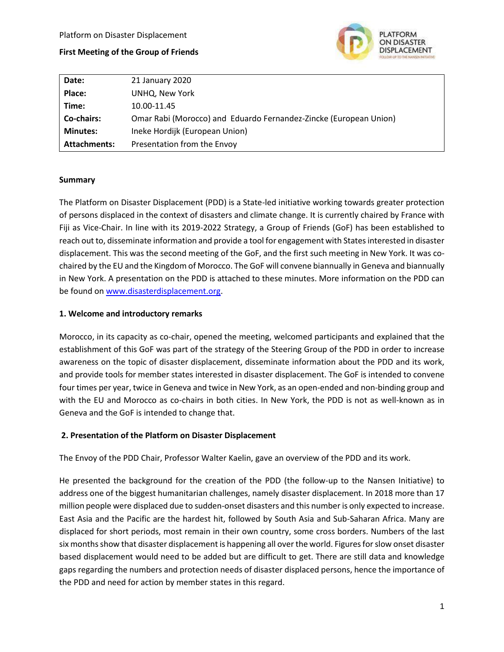### **First Meeting of the Group of Friends**



| Date:           | 21 January 2020                                                   |
|-----------------|-------------------------------------------------------------------|
| Place:          | UNHQ, New York                                                    |
| Time:           | 10.00-11.45                                                       |
| Co-chairs:      | Omar Rabi (Morocco) and Eduardo Fernandez-Zincke (European Union) |
| <b>Minutes:</b> | Ineke Hordijk (European Union)                                    |
| Attachments:    | Presentation from the Envoy                                       |

#### **Summary**

The Platform on Disaster Displacement (PDD) is a State-led initiative working towards greater protection of persons displaced in the context of disasters and climate change. It is currently chaired by France with Fiji as Vice-Chair. In line with its 2019-2022 Strategy, a Group of Friends (GoF) has been established to reach out to, disseminate information and provide a tool for engagement with States interested in disaster displacement. This was the second meeting of the GoF, and the first such meeting in New York. It was cochaired by the EU and the Kingdom of Morocco. The GoF will convene biannually in Geneva and biannually in New York. A presentation on the PDD is attached to these minutes. More information on the PDD can be found on [www.disasterdisplacement.org.](http://www.disasterdisplacement.org/)

### **1. Welcome and introductory remarks**

Morocco, in its capacity as co-chair, opened the meeting, welcomed participants and explained that the establishment of this GoF was part of the strategy of the Steering Group of the PDD in order to increase awareness on the topic of disaster displacement, disseminate information about the PDD and its work, and provide tools for member states interested in disaster displacement. The GoF is intended to convene four times per year, twice in Geneva and twice in New York, as an open-ended and non-binding group and with the EU and Morocco as co-chairs in both cities. In New York, the PDD is not as well-known as in Geneva and the GoF is intended to change that.

### **2. Presentation of the Platform on Disaster Displacement**

The Envoy of the PDD Chair, Professor Walter Kaelin, gave an overview of the PDD and its work.

He presented the background for the creation of the PDD (the follow-up to the Nansen Initiative) to address one of the biggest humanitarian challenges, namely disaster displacement. In 2018 more than 17 million people were displaced due to sudden-onset disasters and this number is only expected to increase. East Asia and the Pacific are the hardest hit, followed by South Asia and Sub-Saharan Africa. Many are displaced for short periods, most remain in their own country, some cross borders. Numbers of the last six months show that disaster displacement is happening all over the world. Figures for slow onset disaster based displacement would need to be added but are difficult to get. There are still data and knowledge gaps regarding the numbers and protection needs of disaster displaced persons, hence the importance of the PDD and need for action by member states in this regard.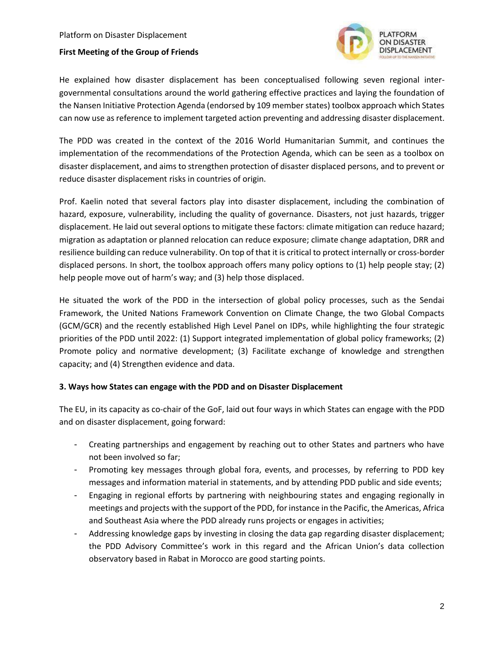### **First Meeting of the Group of Friends**



He explained how disaster displacement has been conceptualised following seven regional intergovernmental consultations around the world gathering effective practices and laying the foundation of the Nansen Initiative Protection Agenda (endorsed by 109 member states) toolbox approach which States can now use as reference to implement targeted action preventing and addressing disaster displacement.

The PDD was created in the context of the 2016 World Humanitarian Summit, and continues the implementation of the recommendations of the Protection Agenda, which can be seen as a toolbox on disaster displacement, and aims to strengthen protection of disaster displaced persons, and to prevent or reduce disaster displacement risks in countries of origin.

Prof. Kaelin noted that several factors play into disaster displacement, including the combination of hazard, exposure, vulnerability, including the quality of governance. Disasters, not just hazards, trigger displacement. He laid out several options to mitigate these factors: climate mitigation can reduce hazard; migration as adaptation or planned relocation can reduce exposure; climate change adaptation, DRR and resilience building can reduce vulnerability. On top of that it is critical to protect internally or cross-border displaced persons. In short, the toolbox approach offers many policy options to (1) help people stay; (2) help people move out of harm's way; and (3) help those displaced.

He situated the work of the PDD in the intersection of global policy processes, such as the Sendai Framework, the United Nations Framework Convention on Climate Change, the two Global Compacts (GCM/GCR) and the recently established High Level Panel on IDPs, while highlighting the four strategic priorities of the PDD until 2022: (1) Support integrated implementation of global policy frameworks; (2) Promote policy and normative development; (3) Facilitate exchange of knowledge and strengthen capacity; and (4) Strengthen evidence and data.

### **3. Ways how States can engage with the PDD and on Disaster Displacement**

The EU, in its capacity as co-chair of the GoF, laid out four ways in which States can engage with the PDD and on disaster displacement, going forward:

- Creating partnerships and engagement by reaching out to other States and partners who have not been involved so far;
- Promoting key messages through global fora, events, and processes, by referring to PDD key messages and information material in statements, and by attending PDD public and side events;
- Engaging in regional efforts by partnering with neighbouring states and engaging regionally in meetings and projects with the support of the PDD, for instance in the Pacific, the Americas, Africa and Southeast Asia where the PDD already runs projects or engages in activities;
- Addressing knowledge gaps by investing in closing the data gap regarding disaster displacement; the PDD Advisory Committee's work in this regard and the African Union's data collection observatory based in Rabat in Morocco are good starting points.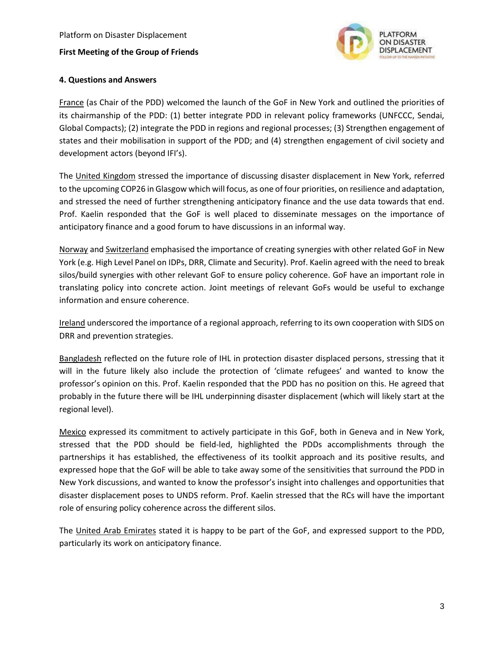

## **4. Questions and Answers**

France (as Chair of the PDD) welcomed the launch of the GoF in New York and outlined the priorities of its chairmanship of the PDD: (1) better integrate PDD in relevant policy frameworks (UNFCCC, Sendai, Global Compacts); (2) integrate the PDD in regions and regional processes; (3) Strengthen engagement of states and their mobilisation in support of the PDD; and (4) strengthen engagement of civil society and development actors (beyond IFI's).

The United Kingdom stressed the importance of discussing disaster displacement in New York, referred to the upcoming COP26 in Glasgow which will focus, as one of four priorities, on resilience and adaptation, and stressed the need of further strengthening anticipatory finance and the use data towards that end. Prof. Kaelin responded that the GoF is well placed to disseminate messages on the importance of anticipatory finance and a good forum to have discussions in an informal way.

Norway and Switzerland emphasised the importance of creating synergies with other related GoF in New York (e.g. High Level Panel on IDPs, DRR, Climate and Security). Prof. Kaelin agreed with the need to break silos/build synergies with other relevant GoF to ensure policy coherence. GoF have an important role in translating policy into concrete action. Joint meetings of relevant GoFs would be useful to exchange information and ensure coherence.

Ireland underscored the importance of a regional approach, referring to its own cooperation with SIDS on DRR and prevention strategies.

Bangladesh reflected on the future role of IHL in protection disaster displaced persons, stressing that it will in the future likely also include the protection of 'climate refugees' and wanted to know the professor's opinion on this. Prof. Kaelin responded that the PDD has no position on this. He agreed that probably in the future there will be IHL underpinning disaster displacement (which will likely start at the regional level).

Mexico expressed its commitment to actively participate in this GoF, both in Geneva and in New York, stressed that the PDD should be field-led, highlighted the PDDs accomplishments through the partnerships it has established, the effectiveness of its toolkit approach and its positive results, and expressed hope that the GoF will be able to take away some of the sensitivities that surround the PDD in New York discussions, and wanted to know the professor's insight into challenges and opportunities that disaster displacement poses to UNDS reform. Prof. Kaelin stressed that the RCs will have the important role of ensuring policy coherence across the different silos.

The United Arab Emirates stated it is happy to be part of the GoF, and expressed support to the PDD, particularly its work on anticipatory finance.